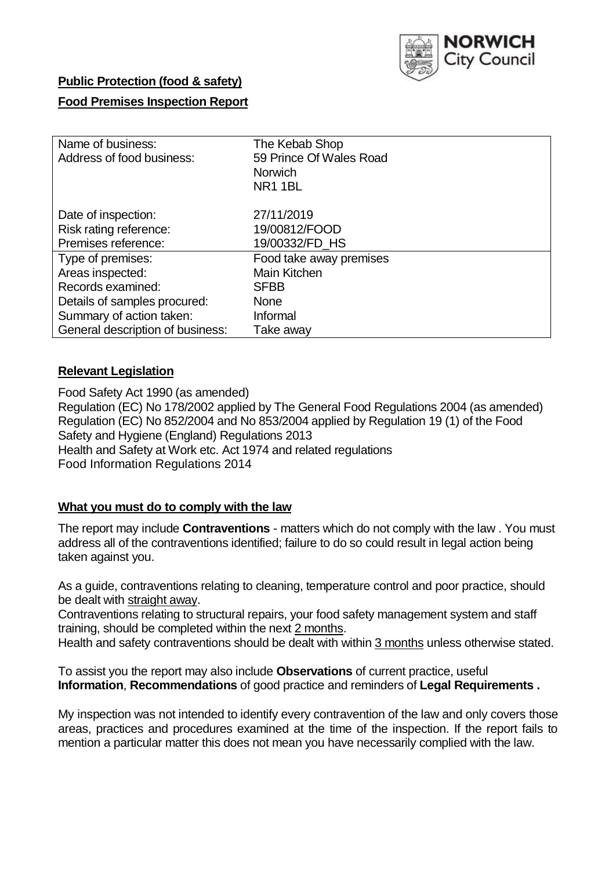

## **Public Protection (food & safety)**

## **Food Premises Inspection Report**

| Name of business:<br>Address of food business: | The Kebab Shop<br>59 Prince Of Wales Road<br><b>Norwich</b><br><b>NR11BL</b> |  |  |  |
|------------------------------------------------|------------------------------------------------------------------------------|--|--|--|
| Date of inspection:                            | 27/11/2019                                                                   |  |  |  |
| Risk rating reference:                         | 19/00812/FOOD                                                                |  |  |  |
| Premises reference:                            | 19/00332/FD_HS                                                               |  |  |  |
| Type of premises:                              | Food take away premises                                                      |  |  |  |
| Areas inspected:                               | Main Kitchen                                                                 |  |  |  |
| Records examined:                              | <b>SFBB</b>                                                                  |  |  |  |
| Details of samples procured:                   | <b>None</b>                                                                  |  |  |  |
| Summary of action taken:                       | Informal                                                                     |  |  |  |
| General description of business:               | Take away                                                                    |  |  |  |

#### **Relevant Legislation**

Food Safety Act 1990 (as amended) Regulation (EC) No 178/2002 applied by The General Food Regulations 2004 (as amended) Regulation (EC) No 852/2004 and No 853/2004 applied by Regulation 19 (1) of the Food Safety and Hygiene (England) Regulations 2013 Health and Safety at Work etc. Act 1974 and related regulations Food Information Regulations 2014

#### **What you must do to comply with the law**

The report may include **Contraventions** - matters which do not comply with the law . You must address all of the contraventions identified; failure to do so could result in legal action being taken against you.

As a guide, contraventions relating to cleaning, temperature control and poor practice, should be dealt with straight away.

Contraventions relating to structural repairs, your food safety management system and staff training, should be completed within the next 2 months.

Health and safety contraventions should be dealt with within 3 months unless otherwise stated.

To assist you the report may also include **Observations** of current practice, useful **Information**, **Recommendations** of good practice and reminders of **Legal Requirements .**

My inspection was not intended to identify every contravention of the law and only covers those areas, practices and procedures examined at the time of the inspection. If the report fails to mention a particular matter this does not mean you have necessarily complied with the law.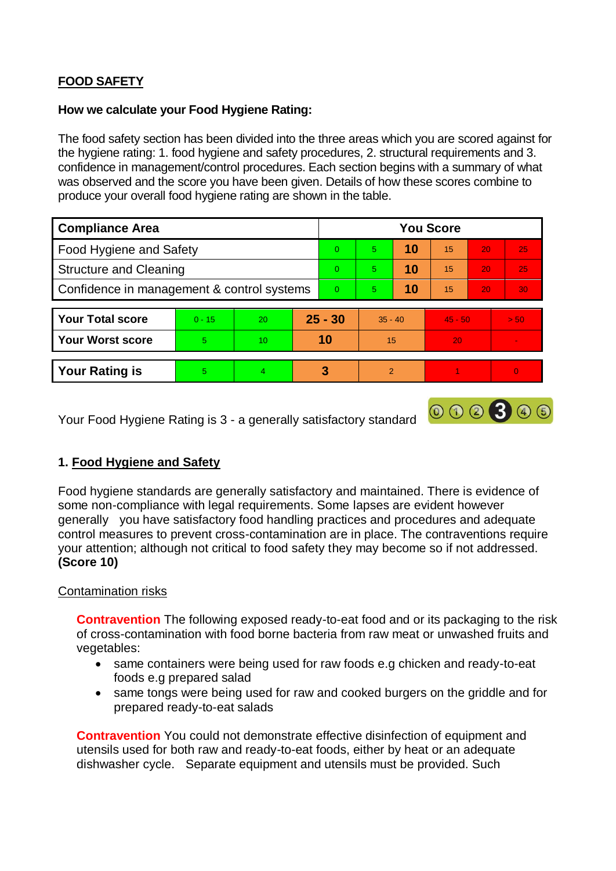# **FOOD SAFETY**

### **How we calculate your Food Hygiene Rating:**

The food safety section has been divided into the three areas which you are scored against for the hygiene rating: 1. food hygiene and safety procedures, 2. structural requirements and 3. confidence in management/control procedures. Each section begins with a summary of what was observed and the score you have been given. Details of how these scores combine to produce your overall food hygiene rating are shown in the table.

| <b>Compliance Area</b>                     |          |                |           | <b>You Score</b> |               |    |           |                 |          |  |  |
|--------------------------------------------|----------|----------------|-----------|------------------|---------------|----|-----------|-----------------|----------|--|--|
| Food Hygiene and Safety                    |          |                |           | $\Omega$         | 5             | 10 | 15        | 20              | 25       |  |  |
| <b>Structure and Cleaning</b>              |          |                | $\Omega$  | 5.               | 10            | 15 | 20        | 25              |          |  |  |
| Confidence in management & control systems |          |                | $\Omega$  | 5                | 10            | 15 | 20        | 30 <sup>°</sup> |          |  |  |
|                                            |          |                |           |                  |               |    |           |                 |          |  |  |
| <b>Your Total score</b>                    | $0 - 15$ | 20             | $25 - 30$ |                  | $35 - 40$     |    | $45 - 50$ |                 | > 50     |  |  |
| <b>Your Worst score</b>                    | 5        | 10             | 10        |                  | 15            |    | 20        |                 |          |  |  |
|                                            |          |                |           |                  |               |    |           |                 |          |  |  |
| <b>Your Rating is</b>                      | 5.       | $\overline{4}$ |           | 3                | $\mathcal{P}$ |    |           |                 | $\Omega$ |  |  |

Your Food Hygiene Rating is 3 - a generally satisfactory standard

## **1. Food Hygiene and Safety**

Food hygiene standards are generally satisfactory and maintained. There is evidence of some non-compliance with legal requirements. Some lapses are evident however generally you have satisfactory food handling practices and procedures and adequate control measures to prevent cross-contamination are in place. The contraventions require your attention; although not critical to food safety they may become so if not addressed. **(Score 10)**

000300

#### Contamination risks

**Contravention** The following exposed ready-to-eat food and or its packaging to the risk of cross-contamination with food borne bacteria from raw meat or unwashed fruits and vegetables:

- same containers were being used for raw foods e.g chicken and ready-to-eat foods e.g prepared salad
- same tongs were being used for raw and cooked burgers on the griddle and for prepared ready-to-eat salads

**Contravention** You could not demonstrate effective disinfection of equipment and utensils used for both raw and ready-to-eat foods, either by heat or an adequate dishwasher cycle. Separate equipment and utensils must be provided. Such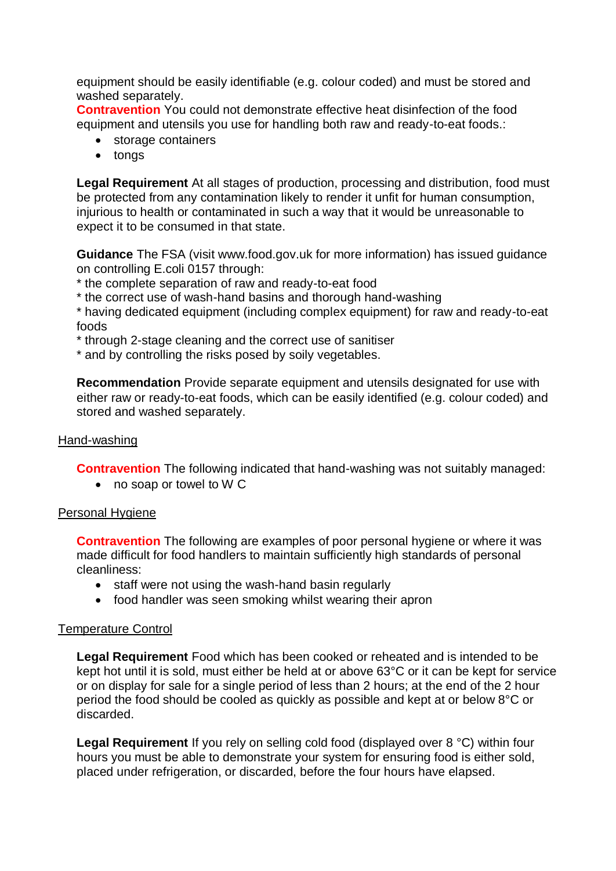equipment should be easily identifiable (e.g. colour coded) and must be stored and washed separately.

**Contravention** You could not demonstrate effective heat disinfection of the food equipment and utensils you use for handling both raw and ready-to-eat foods.:

- storage containers
- tongs

**Legal Requirement** At all stages of production, processing and distribution, food must be protected from any contamination likely to render it unfit for human consumption, injurious to health or contaminated in such a way that it would be unreasonable to expect it to be consumed in that state.

**Guidance** The FSA (visit www.food.gov.uk for more information) has issued guidance on controlling E.coli 0157 through:

- \* the complete separation of raw and ready-to-eat food
- \* the correct use of wash-hand basins and thorough hand-washing

\* having dedicated equipment (including complex equipment) for raw and ready-to-eat foods

\* through 2-stage cleaning and the correct use of sanitiser

\* and by controlling the risks posed by soily vegetables.

**Recommendation** Provide separate equipment and utensils designated for use with either raw or ready-to-eat foods, which can be easily identified (e.g. colour coded) and stored and washed separately.

### Hand-washing

**Contravention** The following indicated that hand-washing was not suitably managed:

no soap or towel to W C

#### Personal Hygiene

**Contravention** The following are examples of poor personal hygiene or where it was made difficult for food handlers to maintain sufficiently high standards of personal cleanliness:

- staff were not using the wash-hand basin regularly
- food handler was seen smoking whilst wearing their apron

#### Temperature Control

**Legal Requirement** Food which has been cooked or reheated and is intended to be kept hot until it is sold, must either be held at or above 63°C or it can be kept for service or on display for sale for a single period of less than 2 hours; at the end of the 2 hour period the food should be cooled as quickly as possible and kept at or below 8°C or discarded.

**Legal Requirement** If you rely on selling cold food (displayed over 8 °C) within four hours you must be able to demonstrate your system for ensuring food is either sold, placed under refrigeration, or discarded, before the four hours have elapsed.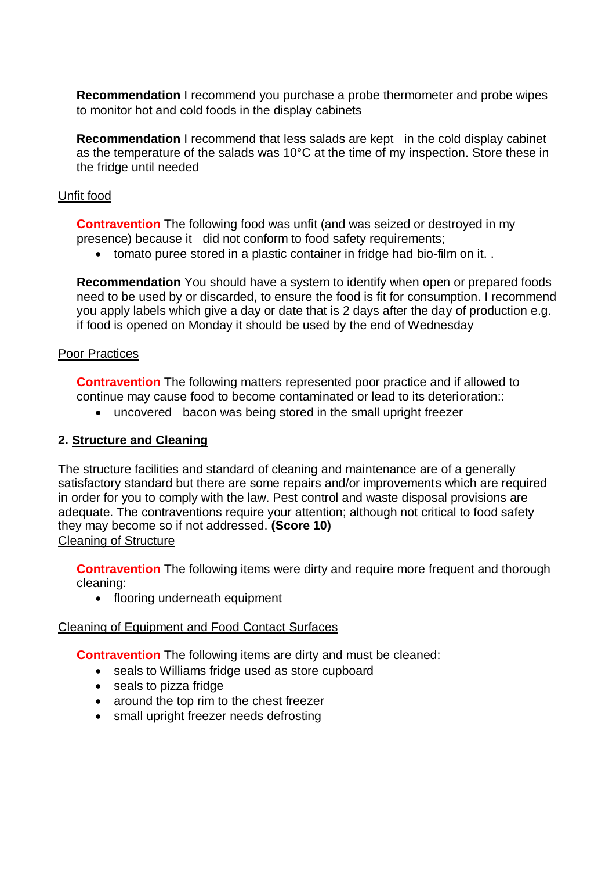**Recommendation** I recommend you purchase a probe thermometer and probe wipes to monitor hot and cold foods in the display cabinets

**Recommendation** I recommend that less salads are kept in the cold display cabinet as the temperature of the salads was 10°C at the time of my inspection. Store these in the fridge until needed

### Unfit food

**Contravention** The following food was unfit (and was seized or destroyed in my presence) because it did not conform to food safety requirements;

• tomato puree stored in a plastic container in fridge had bio-film on it...

**Recommendation** You should have a system to identify when open or prepared foods need to be used by or discarded, to ensure the food is fit for consumption. I recommend you apply labels which give a day or date that is 2 days after the day of production e.g. if food is opened on Monday it should be used by the end of Wednesday

## Poor Practices

**Contravention** The following matters represented poor practice and if allowed to continue may cause food to become contaminated or lead to its deterioration::

uncovered bacon was being stored in the small upright freezer

## **2. Structure and Cleaning**

The structure facilities and standard of cleaning and maintenance are of a generally satisfactory standard but there are some repairs and/or improvements which are required in order for you to comply with the law. Pest control and waste disposal provisions are adequate. The contraventions require your attention; although not critical to food safety they may become so if not addressed. **(Score 10)** Cleaning of Structure

**Contravention** The following items were dirty and require more frequent and thorough cleaning:

• flooring underneath equipment

#### Cleaning of Equipment and Food Contact Surfaces

**Contravention** The following items are dirty and must be cleaned:

- seals to Williams fridge used as store cupboard
- seals to pizza fridge
- around the top rim to the chest freezer
- small upright freezer needs defrosting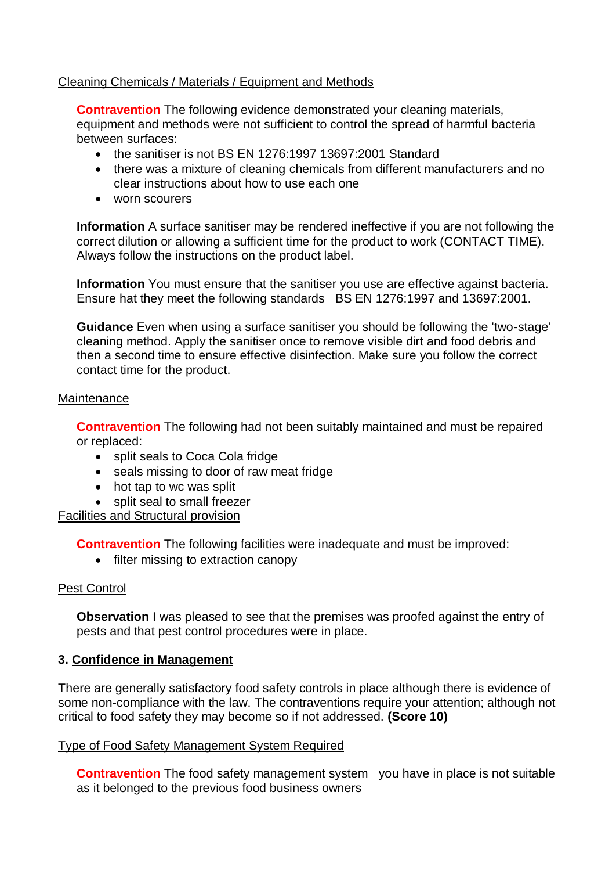## Cleaning Chemicals / Materials / Equipment and Methods

**Contravention** The following evidence demonstrated your cleaning materials, equipment and methods were not sufficient to control the spread of harmful bacteria between surfaces:

- the sanitiser is not BS EN 1276:1997 13697:2001 Standard
- there was a mixture of cleaning chemicals from different manufacturers and no clear instructions about how to use each one
- worn scourers

**Information** A surface sanitiser may be rendered ineffective if you are not following the correct dilution or allowing a sufficient time for the product to work (CONTACT TIME). Always follow the instructions on the product label.

**Information** You must ensure that the sanitiser you use are effective against bacteria. Ensure hat they meet the following standards BS EN 1276:1997 and 13697:2001.

**Guidance** Even when using a surface sanitiser you should be following the 'two-stage' cleaning method. Apply the sanitiser once to remove visible dirt and food debris and then a second time to ensure effective disinfection. Make sure you follow the correct contact time for the product.

#### **Maintenance**

**Contravention** The following had not been suitably maintained and must be repaired or replaced:

- split seals to Coca Cola fridge
- seals missing to door of raw meat fridge
- hot tap to wc was split
- split seal to small freezer

Facilities and Structural provision

**Contravention** The following facilities were inadequate and must be improved:

• filter missing to extraction canopy

#### Pest Control

**Observation** I was pleased to see that the premises was proofed against the entry of pests and that pest control procedures were in place.

#### **3. Confidence in Management**

There are generally satisfactory food safety controls in place although there is evidence of some non-compliance with the law. The contraventions require your attention; although not critical to food safety they may become so if not addressed. **(Score 10)**

#### Type of Food Safety Management System Required

**Contravention** The food safety management system you have in place is not suitable as it belonged to the previous food business owners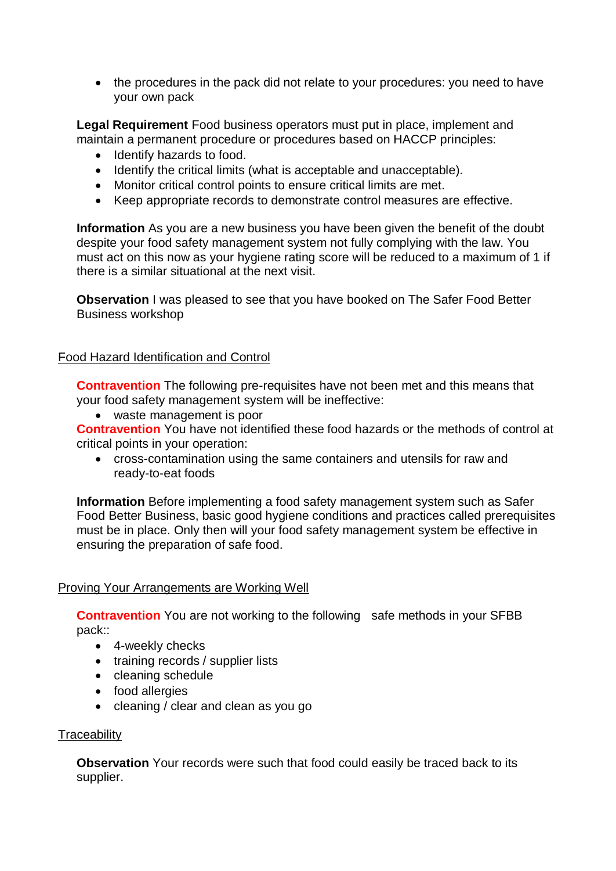• the procedures in the pack did not relate to your procedures: you need to have your own pack

**Legal Requirement** Food business operators must put in place, implement and maintain a permanent procedure or procedures based on HACCP principles:

- Identify hazards to food.
- Identify the critical limits (what is acceptable and unacceptable).
- Monitor critical control points to ensure critical limits are met.
- Keep appropriate records to demonstrate control measures are effective.

**Information** As you are a new business you have been given the benefit of the doubt despite your food safety management system not fully complying with the law. You must act on this now as your hygiene rating score will be reduced to a maximum of 1 if there is a similar situational at the next visit.

**Observation** I was pleased to see that you have booked on The Safer Food Better Business workshop

#### Food Hazard Identification and Control

**Contravention** The following pre-requisites have not been met and this means that your food safety management system will be ineffective:

waste management is poor

**Contravention** You have not identified these food hazards or the methods of control at critical points in your operation:

 cross-contamination using the same containers and utensils for raw and ready-to-eat foods

**Information** Before implementing a food safety management system such as Safer Food Better Business, basic good hygiene conditions and practices called prerequisites must be in place. Only then will your food safety management system be effective in ensuring the preparation of safe food.

#### Proving Your Arrangements are Working Well

**Contravention** You are not working to the following safe methods in your SFBB pack::

- 4-weekly checks
- training records / supplier lists
- cleaning schedule
- food allergies
- cleaning / clear and clean as you go

#### **Traceability**

**Observation** Your records were such that food could easily be traced back to its supplier.